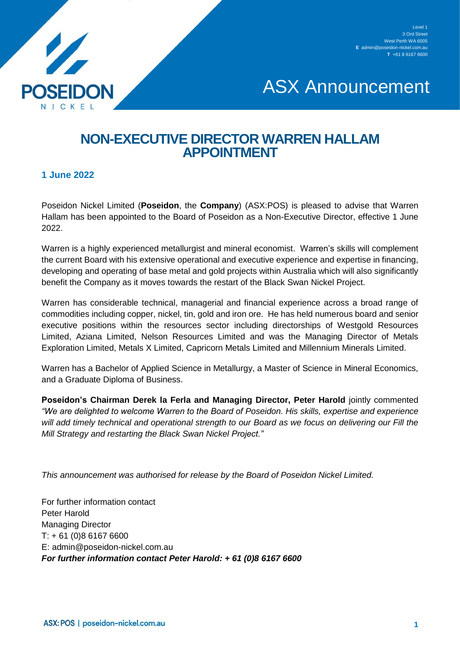

## ASX Announcement

## **NON-EXECUTIVE DIRECTOR WARREN HALLAM APPOINTMENT**

## **1 June 2022**

Poseidon Nickel Limited (**Poseidon**, the **Company**) (ASX:POS) is pleased to advise that Warren Hallam has been appointed to the Board of Poseidon as a Non-Executive Director, effective 1 June 2022.

Warren is a highly experienced metallurgist and mineral economist. Warren's skills will complement the current Board with his extensive operational and executive experience and expertise in financing, developing and operating of base metal and gold projects within Australia which will also significantly benefit the Company as it moves towards the restart of the Black Swan Nickel Project.

Warren has considerable technical, managerial and financial experience across a broad range of commodities including copper, nickel, tin, gold and iron ore. He has held numerous board and senior executive positions within the resources sector including directorships of Westgold Resources Limited, Aziana Limited, Nelson Resources Limited and was the Managing Director of Metals Exploration Limited, Metals X Limited, Capricorn Metals Limited and Millennium Minerals Limited.

Warren has a Bachelor of Applied Science in Metallurgy, a Master of Science in Mineral Economics, and a Graduate Diploma of Business.

**Poseidon's Chairman Derek la Ferla and Managing Director, Peter Harold** jointly commented *"We are delighted to welcome Warren to the Board of Poseidon. His skills, expertise and experience will add timely technical and operational strength to our Board as we focus on delivering our Fill the Mill Strategy and restarting the Black Swan Nickel Project."*

*This announcement was authorised for release by the Board of Poseidon Nickel Limited.*

For further information contact Peter Harold Managing Director T: + 61 (0)8 6167 6600 E: admin@poseidon-nickel.com.au *For further information contact Peter Harold: + 61 (0)8 6167 6600*